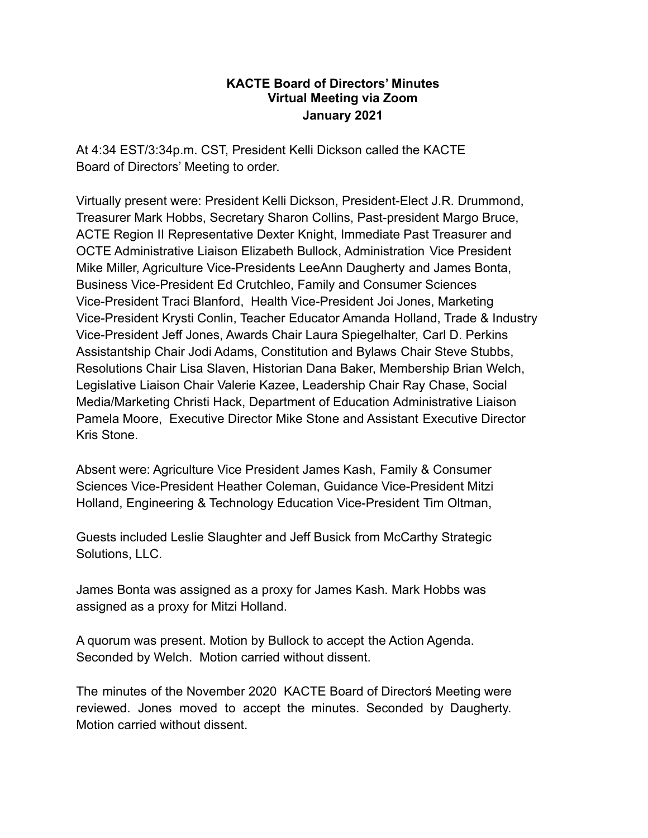## **KACTE Board of Directors' Minutes Virtual Meeting via Zoom January 2021**

At 4:34 EST/3:34p.m. CST, President Kelli Dickson called the KACTE Board of Directors' Meeting to order.

Virtually present were: President Kelli Dickson, President-Elect J.R. Drummond, Treasurer Mark Hobbs, Secretary Sharon Collins, Past-president Margo Bruce, ACTE Region II Representative Dexter Knight, Immediate Past Treasurer and OCTE Administrative Liaison Elizabeth Bullock, Administration Vice President Mike Miller, Agriculture Vice-Presidents LeeAnn Daugherty and James Bonta, Business Vice-President Ed Crutchleo, Family and Consumer Sciences Vice-President Traci Blanford, Health Vice-President Joi Jones, Marketing Vice-President Krysti Conlin, Teacher Educator Amanda Holland, Trade & Industry Vice-President Jeff Jones, Awards Chair Laura Spiegelhalter, Carl D. Perkins Assistantship Chair Jodi Adams, Constitution and Bylaws Chair Steve Stubbs, Resolutions Chair Lisa Slaven, Historian Dana Baker, Membership Brian Welch, Legislative Liaison Chair Valerie Kazee, Leadership Chair Ray Chase, Social Media/Marketing Christi Hack, Department of Education Administrative Liaison Pamela Moore, Executive Director Mike Stone and Assistant Executive Director Kris Stone.

Absent were: Agriculture Vice President James Kash, Family & Consumer Sciences Vice-President Heather Coleman, Guidance Vice-President Mitzi Holland, Engineering & Technology Education Vice-President Tim Oltman,

Guests included Leslie Slaughter and Jeff Busick from McCarthy Strategic Solutions, LLC.

James Bonta was assigned as a proxy for James Kash. Mark Hobbs was assigned as a proxy for Mitzi Holland.

A quorum was present. Motion by Bullock to accept the Action Agenda. Seconded by Welch. Motion carried without dissent.

The minutes of the November 2020 KACTE Board of Directorś Meeting were reviewed. Jones moved to accept the minutes. Seconded by Daugherty. Motion carried without dissent.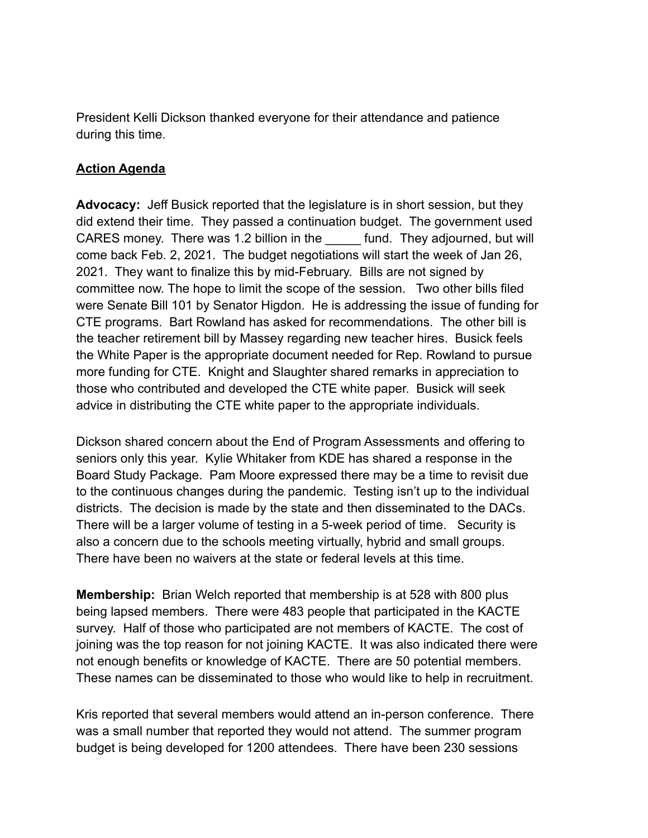President Kelli Dickson thanked everyone for their attendance and patience during this time.

## **Action Agenda**

**Advocacy:** Jeff Busick reported that the legislature is in short session, but they did extend their time. They passed a continuation budget. The government used CARES money. There was 1.2 billion in the fund. They adjourned, but will come back Feb. 2, 2021. The budget negotiations will start the week of Jan 26, 2021. They want to finalize this by mid-February. Bills are not signed by committee now. The hope to limit the scope of the session. Two other bills filed were Senate Bill 101 by Senator Higdon. He is addressing the issue of funding for CTE programs. Bart Rowland has asked for recommendations. The other bill is the teacher retirement bill by Massey regarding new teacher hires. Busick feels the White Paper is the appropriate document needed for Rep. Rowland to pursue more funding for CTE. Knight and Slaughter shared remarks in appreciation to those who contributed and developed the CTE white paper. Busick will seek advice in distributing the CTE white paper to the appropriate individuals.

Dickson shared concern about the End of Program Assessments and offering to seniors only this year. Kylie Whitaker from KDE has shared a response in the Board Study Package. Pam Moore expressed there may be a time to revisit due to the continuous changes during the pandemic. Testing isn't up to the individual districts. The decision is made by the state and then disseminated to the DACs. There will be a larger volume of testing in a 5-week period of time. Security is also a concern due to the schools meeting virtually, hybrid and small groups. There have been no waivers at the state or federal levels at this time.

**Membership:** Brian Welch reported that membership is at 528 with 800 plus being lapsed members. There were 483 people that participated in the KACTE survey. Half of those who participated are not members of KACTE. The cost of joining was the top reason for not joining KACTE. It was also indicated there were not enough benefits or knowledge of KACTE. There are 50 potential members. These names can be disseminated to those who would like to help in recruitment.

Kris reported that several members would attend an in-person conference. There was a small number that reported they would not attend. The summer program budget is being developed for 1200 attendees. There have been 230 sessions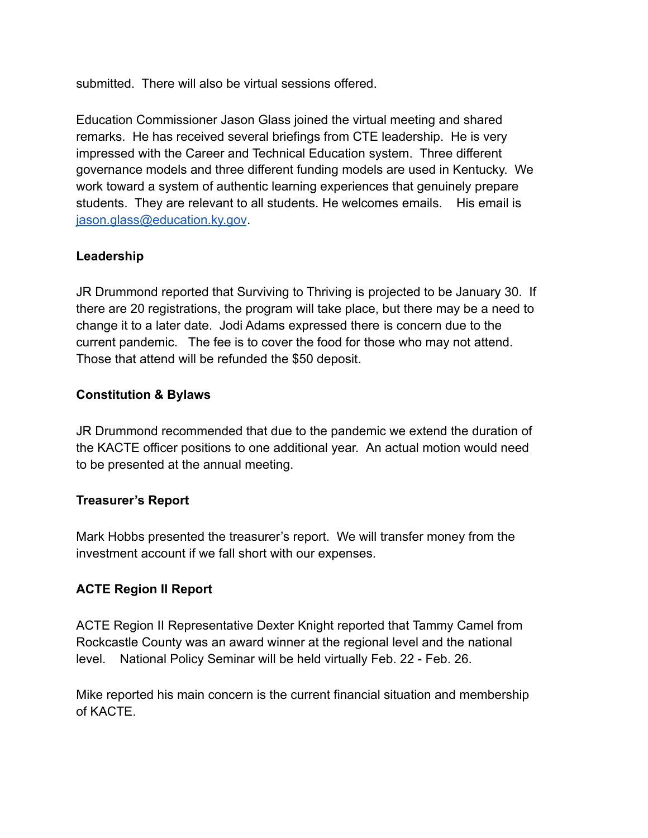submitted. There will also be virtual sessions offered.

Education Commissioner Jason Glass joined the virtual meeting and shared remarks. He has received several briefings from CTE leadership. He is very impressed with the Career and Technical Education system. Three different governance models and three different funding models are used in Kentucky. We work toward a system of authentic learning experiences that genuinely prepare students. They are relevant to all students. He welcomes emails. His email is [jason.glass@education.ky.gov](mailto:jason.glass@education.ky.gov).

# **Leadership**

JR Drummond reported that Surviving to Thriving is projected to be January 30. If there are 20 registrations, the program will take place, but there may be a need to change it to a later date. Jodi Adams expressed there is concern due to the current pandemic. The fee is to cover the food for those who may not attend. Those that attend will be refunded the \$50 deposit.

## **Constitution & Bylaws**

JR Drummond recommended that due to the pandemic we extend the duration of the KACTE officer positions to one additional year. An actual motion would need to be presented at the annual meeting.

## **Treasurer's Report**

Mark Hobbs presented the treasurer's report. We will transfer money from the investment account if we fall short with our expenses.

## **ACTE Region II Report**

ACTE Region II Representative Dexter Knight reported that Tammy Camel from Rockcastle County was an award winner at the regional level and the national level. National Policy Seminar will be held virtually Feb. 22 - Feb. 26.

Mike reported his main concern is the current financial situation and membership of KACTE.